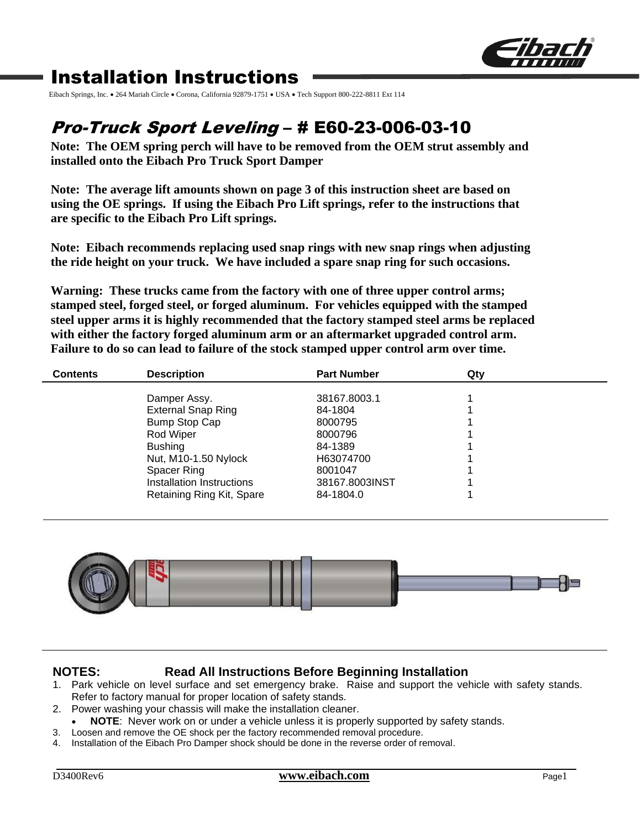

# Installation Instructions

Eibach Springs, Inc. • 264 Mariah Circle • Corona, California 92879-1751 • USA • Tech Support 800-222-8811 Ext 114

# Pro-Truck Sport Leveling – # E60-23-006-03-10

**Note: The OEM spring perch will have to be removed from the OEM strut assembly and installed onto the Eibach Pro Truck Sport Damper**

**Note: The average lift amounts shown on page 3 of this instruction sheet are based on using the OE springs. If using the Eibach Pro Lift springs, refer to the instructions that are specific to the Eibach Pro Lift springs.**

**Note: Eibach recommends replacing used snap rings with new snap rings when adjusting the ride height on your truck. We have included a spare snap ring for such occasions.** 

**Warning: These trucks came from the factory with one of three upper control arms; stamped steel, forged steel, or forged aluminum. For vehicles equipped with the stamped steel upper arms it is highly recommended that the factory stamped steel arms be replaced with either the factory forged aluminum arm or an aftermarket upgraded control arm. Failure to do so can lead to failure of the stock stamped upper control arm over time.**

| <b>Contents</b> | <b>Description</b>        | <b>Part Number</b> | Qty |  |
|-----------------|---------------------------|--------------------|-----|--|
|                 | Damper Assy.              | 38167.8003.1       |     |  |
|                 | <b>External Snap Ring</b> | 84-1804            |     |  |
|                 | <b>Bump Stop Cap</b>      | 8000795            |     |  |
|                 | Rod Wiper                 | 8000796            |     |  |
|                 | <b>Bushing</b>            | 84-1389            |     |  |
|                 | Nut, M10-1.50 Nylock      | H63074700          |     |  |
|                 | Spacer Ring               | 8001047            |     |  |
|                 | Installation Instructions | 38167.8003INST     |     |  |
|                 | Retaining Ring Kit, Spare | 84-1804.0          |     |  |



## **NOTES: Read All Instructions Before Beginning Installation**

- 1. Park vehicle on level surface and set emergency brake. Raise and support the vehicle with safety stands. Refer to factory manual for proper location of safety stands.
- 2. Power washing your chassis will make the installation cleaner.
- **NOTE**: Never work on or under a vehicle unless it is properly supported by safety stands.
- 3. Loosen and remove the OE shock per the factory recommended removal procedure.
- 4. Installation of the Eibach Pro Damper shock should be done in the reverse order of removal.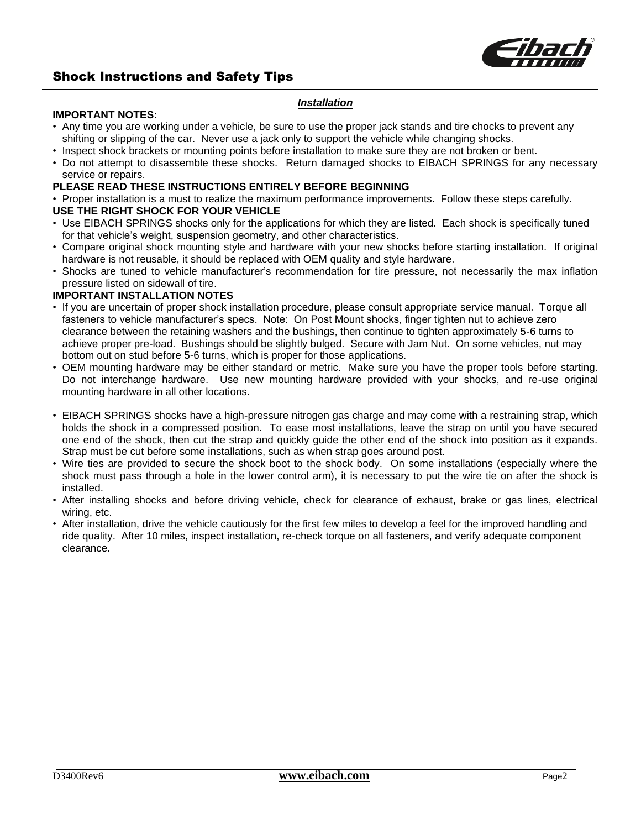

## Shock Instructions and Safety Tips

#### *Installation*

#### **IMPORTANT NOTES:**

- Any time you are working under a vehicle, be sure to use the proper jack stands and tire chocks to prevent any shifting or slipping of the car. Never use a jack only to support the vehicle while changing shocks.
- Inspect shock brackets or mounting points before installation to make sure they are not broken or bent.
- Do not attempt to disassemble these shocks. Return damaged shocks to EIBACH SPRINGS for any necessary service or repairs.

#### **PLEASE READ THESE INSTRUCTIONS ENTIRELY BEFORE BEGINNING**

• Proper installation is a must to realize the maximum performance improvements. Follow these steps carefully.

### **USE THE RIGHT SHOCK FOR YOUR VEHICLE**

- Use EIBACH SPRINGS shocks only for the applications for which they are listed. Each shock is specifically tuned for that vehicle's weight, suspension geometry, and other characteristics.
- Compare original shock mounting style and hardware with your new shocks before starting installation. If original hardware is not reusable, it should be replaced with OEM quality and style hardware.
- Shocks are tuned to vehicle manufacturer's recommendation for tire pressure, not necessarily the max inflation pressure listed on sidewall of tire.

#### **IMPORTANT INSTALLATION NOTES**

- If you are uncertain of proper shock installation procedure, please consult appropriate service manual. Torque all fasteners to vehicle manufacturer's specs. Note: On Post Mount shocks, finger tighten nut to achieve zero clearance between the retaining washers and the bushings, then continue to tighten approximately 5-6 turns to achieve proper pre-load. Bushings should be slightly bulged. Secure with Jam Nut. On some vehicles, nut may bottom out on stud before 5-6 turns, which is proper for those applications.
- OEM mounting hardware may be either standard or metric. Make sure you have the proper tools before starting. Do not interchange hardware. Use new mounting hardware provided with your shocks, and re-use original mounting hardware in all other locations.
- EIBACH SPRINGS shocks have a high-pressure nitrogen gas charge and may come with a restraining strap, which holds the shock in a compressed position. To ease most installations, leave the strap on until you have secured one end of the shock, then cut the strap and quickly guide the other end of the shock into position as it expands. Strap must be cut before some installations, such as when strap goes around post.
- Wire ties are provided to secure the shock boot to the shock body. On some installations (especially where the shock must pass through a hole in the lower control arm), it is necessary to put the wire tie on after the shock is installed.
- After installing shocks and before driving vehicle, check for clearance of exhaust, brake or gas lines, electrical wiring, etc.
- After installation, drive the vehicle cautiously for the first few miles to develop a feel for the improved handling and ride quality. After 10 miles, inspect installation, re-check torque on all fasteners, and verify adequate component clearance.